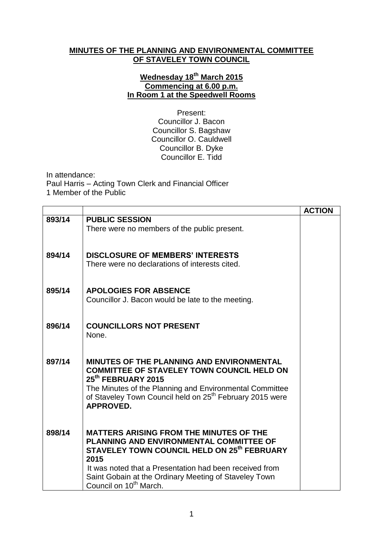## **MINUTES OF THE PLANNING AND ENVIRONMENTAL COMMITTEE OF STAVELEY TOWN COUNCIL**

## **Wednesday 18th March 2015 Commencing at 6.00 p.m. In Room 1 at the Speedwell Rooms**

Present: Councillor J. Bacon Councillor S. Bagshaw Councillor O. Cauldwell Councillor B. Dyke Councillor E. Tidd

In attendance: Paul Harris – Acting Town Clerk and Financial Officer 1 Member of the Public

|        |                                                                                     | <b>ACTION</b> |
|--------|-------------------------------------------------------------------------------------|---------------|
| 893/14 | <b>PUBLIC SESSION</b>                                                               |               |
|        | There were no members of the public present.                                        |               |
|        |                                                                                     |               |
| 894/14 | <b>DISCLOSURE OF MEMBERS' INTERESTS</b>                                             |               |
|        | There were no declarations of interests cited.                                      |               |
|        |                                                                                     |               |
| 895/14 | <b>APOLOGIES FOR ABSENCE</b>                                                        |               |
|        | Councillor J. Bacon would be late to the meeting.                                   |               |
|        |                                                                                     |               |
|        |                                                                                     |               |
| 896/14 | <b>COUNCILLORS NOT PRESENT</b><br>None.                                             |               |
|        |                                                                                     |               |
|        |                                                                                     |               |
| 897/14 | MINUTES OF THE PLANNING AND ENVIRONMENTAL                                           |               |
|        | <b>COMMITTEE OF STAVELEY TOWN COUNCIL HELD ON</b><br>25 <sup>th</sup> FEBRUARY 2015 |               |
|        | The Minutes of the Planning and Environmental Committee                             |               |
|        | of Staveley Town Council held on 25 <sup>th</sup> February 2015 were                |               |
|        | <b>APPROVED.</b>                                                                    |               |
|        |                                                                                     |               |
| 898/14 | <b>MATTERS ARISING FROM THE MINUTES OF THE</b>                                      |               |
|        | PLANNING AND ENVIRONMENTAL COMMITTEE OF                                             |               |
|        | STAVELEY TOWN COUNCIL HELD ON 25 <sup>th</sup> FEBRUARY                             |               |
|        | 2015<br>It was noted that a Presentation had been received from                     |               |
|        | Saint Gobain at the Ordinary Meeting of Staveley Town                               |               |
|        | Council on 10 <sup>th</sup> March.                                                  |               |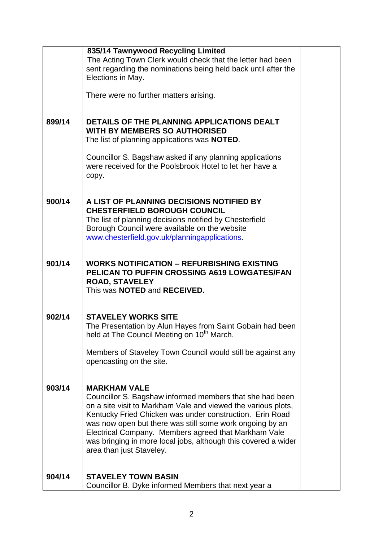|        | 835/14 Tawnywood Recycling Limited                                                                                        |  |
|--------|---------------------------------------------------------------------------------------------------------------------------|--|
|        | The Acting Town Clerk would check that the letter had been                                                                |  |
|        | sent regarding the nominations being held back until after the                                                            |  |
|        | Elections in May.                                                                                                         |  |
|        |                                                                                                                           |  |
|        | There were no further matters arising.                                                                                    |  |
|        |                                                                                                                           |  |
| 899/14 | DETAILS OF THE PLANNING APPLICATIONS DEALT                                                                                |  |
|        | <b>WITH BY MEMBERS SO AUTHORISED</b>                                                                                      |  |
|        | The list of planning applications was <b>NOTED</b> .                                                                      |  |
|        |                                                                                                                           |  |
|        | Councillor S. Bagshaw asked if any planning applications                                                                  |  |
|        | were received for the Poolsbrook Hotel to let her have a                                                                  |  |
|        | copy.                                                                                                                     |  |
|        |                                                                                                                           |  |
| 900/14 | A LIST OF PLANNING DECISIONS NOTIFIED BY                                                                                  |  |
|        | <b>CHESTERFIELD BOROUGH COUNCIL</b>                                                                                       |  |
|        | The list of planning decisions notified by Chesterfield                                                                   |  |
|        | Borough Council were available on the website                                                                             |  |
|        | www.chesterfield.gov.uk/planningapplications.                                                                             |  |
|        |                                                                                                                           |  |
|        |                                                                                                                           |  |
| 901/14 | <b>WORKS NOTIFICATION - REFURBISHING EXISTING</b>                                                                         |  |
|        | PELICAN TO PUFFIN CROSSING A619 LOWGATES/FAN                                                                              |  |
|        | <b>ROAD, STAVELEY</b>                                                                                                     |  |
|        | This was <b>NOTED</b> and <b>RECEIVED.</b>                                                                                |  |
|        |                                                                                                                           |  |
| 902/14 | <b>STAVELEY WORKS SITE</b>                                                                                                |  |
|        | The Presentation by Alun Hayes from Saint Gobain had been                                                                 |  |
|        | held at The Council Meeting on 10 <sup>th</sup> March.                                                                    |  |
|        |                                                                                                                           |  |
|        | Members of Staveley Town Council would still be against any                                                               |  |
|        | opencasting on the site.                                                                                                  |  |
|        |                                                                                                                           |  |
|        |                                                                                                                           |  |
| 903/14 | <b>MARKHAM VALE</b>                                                                                                       |  |
|        | Councillor S. Bagshaw informed members that she had been<br>on a site visit to Markham Vale and viewed the various plots, |  |
|        | Kentucky Fried Chicken was under construction. Erin Road                                                                  |  |
|        | was now open but there was still some work ongoing by an                                                                  |  |
|        | Electrical Company. Members agreed that Markham Vale                                                                      |  |
|        | was bringing in more local jobs, although this covered a wider                                                            |  |
|        | area than just Staveley.                                                                                                  |  |
|        |                                                                                                                           |  |
|        |                                                                                                                           |  |
| 904/14 | <b>STAVELEY TOWN BASIN</b>                                                                                                |  |
|        | Councillor B. Dyke informed Members that next year a                                                                      |  |